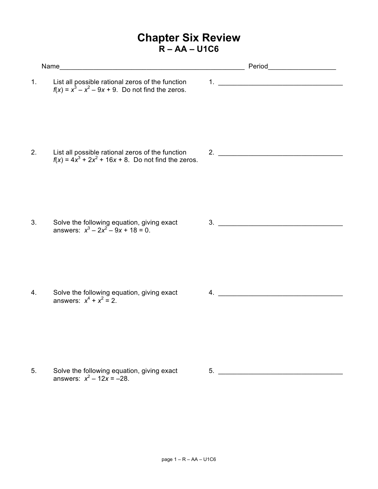## **Chapter Six Review R – AA – U1C6**

|    |                                                                                                             |  | Period______________________ |
|----|-------------------------------------------------------------------------------------------------------------|--|------------------------------|
| 1. | List all possible rational zeros of the function<br>$f(x) = x^3 - x^2 - 9x + 9$ . Do not find the zeros.    |  |                              |
| 2. | List all possible rational zeros of the function<br>$f(x) = 4x^3 + 2x^2 + 16x + 8$ . Do not find the zeros. |  |                              |
| 3. | Solve the following equation, giving exact<br>answers: $x^3 - 2x^2 - 9x + 18 = 0$ .                         |  | 3.                           |
| 4. | Solve the following equation, giving exact<br>answers: $x^4 + x^2 = 2$ .                                    |  | $\overline{4}$ .             |
|    | Solve the following equation, giving exact                                                                  |  |                              |

5. Solve the following equation, giving exact  $\qquad \qquad$  5. answers:  $x^2 - 12x = -28$ .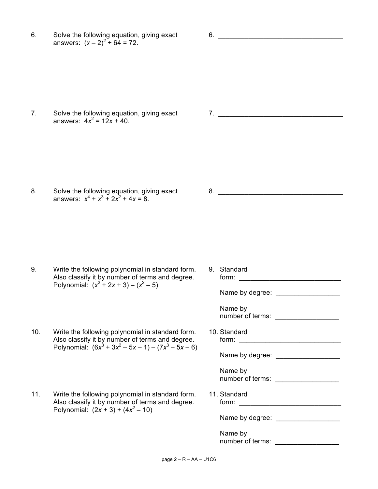6. Solve the following equation, giving exact 6. \_\_\_\_\_\_\_\_\_\_\_\_\_\_\_\_\_\_\_\_\_\_\_\_\_\_\_\_\_\_\_ answers:  $(x - 2)^2 + 64 = 72$ .

7. Solve the following equation, giving exact **7.** The state of  $\overline{7}$ . answers:  $4x^2 = 12x + 40$ .

8. Solve the following equation, giving exact 8. answers:  $x^4 + x^3 + 2x^2 + 4x = 8$ .

9. Write the following polynomial in standard form. 9. Standard Also classify it by number of terms and degree. Polynomial:  $(x^2 + 2x + 3) - (x^2 - 5)$ 

- 10. Write the following polynomial in standard form. 10. Standard Also classify it by number of terms and degree. form: \_\_\_\_\_\_\_\_\_\_\_\_\_\_\_\_\_\_\_\_\_\_\_\_\_\_ Polynomial:  $(6x^3 + 3x^2 - 5x - 1) - (7x^3 - 5x - 6)$
- 11. Write the following polynomial in standard form. 11. Standard Also classify it by number of terms and degree. Polynomial:  $(2x + 3) + (4x^2 - 10)$

Name by degree: \_\_\_\_\_\_\_\_\_\_\_\_\_\_\_\_\_ Name by number of terms: \_\_\_\_\_\_\_\_\_\_\_\_\_\_\_\_\_ Name by degree: \_\_\_\_\_\_\_\_\_\_\_\_\_\_\_\_\_ Name by number of terms: \_\_\_\_\_\_\_\_\_\_\_\_\_\_\_\_\_ form:  $\begin{array}{|c|c|c|c|c|}\n\hline\n\text{form:} & \begin{array}{|c|c|c|}\n\hline\n\text{form:} & \begin{array}{|c|c|c|}\n\hline\n\text{form:} & \begin{array}{|c|c|c|}\n\hline\n\text{form:} & \begin{array}{|c|c|c|}\n\hline\n\text{form:} & \begin{array}{|c|c|c|}\n\hline\n\text{form:} & \begin{array}{|c|c|c|}\n\hline\n\text{form:} & \begin{array}{|c|c|c|}\n\hline\n\text{form:} & \begin{array}{|c|c|$ Name by degree: \_\_\_\_\_\_\_\_\_\_\_\_\_\_\_\_\_ Name by number of terms: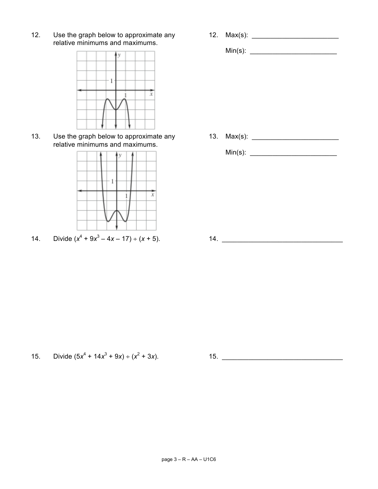Min(s): \_\_\_\_\_\_\_\_\_\_\_\_\_\_\_\_\_\_\_\_\_\_\_

12. Use the graph below to approximate any  $12.$  Max(s): \_\_\_\_\_\_\_\_\_\_\_\_\_\_\_\_\_\_\_\_\_\_\_ relative minimums and maximums.



13. Use the graph below to approximate any  $13.$  Max(s): \_\_\_\_\_\_\_\_\_\_\_\_\_\_\_\_\_\_\_\_\_\_\_ relative minimums and maximums.



14. Divide  $(x^4 + 9x^3 - 4x - 17) \div (x + 5)$ . 14.

Min(s): \_\_\_\_\_\_\_\_\_\_\_\_\_\_\_\_\_\_\_\_\_\_\_

15. Divide (5*x*<sup>4</sup> + 14*x*<sup>3</sup> + 9*x*) ÷ (*x*<sup>2</sup> + 3*x*). 15. \_\_\_\_\_\_\_\_\_\_\_\_\_\_\_\_\_\_\_\_\_\_\_\_\_\_\_\_\_\_\_\_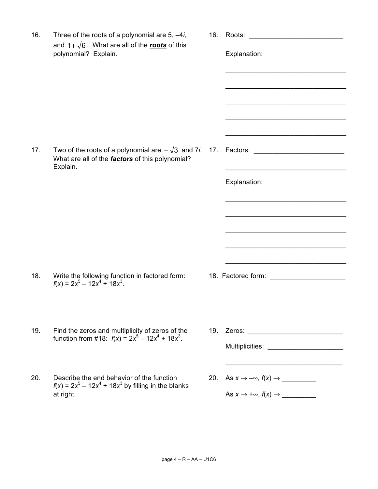| 16. | Three of the roots of a polynomial are $5, -4i$ ,<br>and $1+\sqrt{6}$ . What are all of the <b>roots</b> of this<br>polynomial? Explain.    | 16. | Roots: the contract of the contract of the contract of the contract of the contract of the contract of the contract of the contract of the contract of the contract of the contract of the contract of the contract of the con<br>Explanation: |
|-----|---------------------------------------------------------------------------------------------------------------------------------------------|-----|------------------------------------------------------------------------------------------------------------------------------------------------------------------------------------------------------------------------------------------------|
| 17. | Two of the roots of a polynomial are $-\sqrt{3}$ and 7 <i>i</i> . 17.<br>What are all of the <i>factors</i> of this polynomial?<br>Explain. |     | Explanation:                                                                                                                                                                                                                                   |
| 18. | Write the following function in factored form:<br>$f(x) = 2x^5 - 12x^4 + 18x^3$ .                                                           |     | 18. Factored form: Network and Security Assembly the Security Assembly                                                                                                                                                                         |
| 19. | Find the zeros and multiplicity of zeros of the<br>function from #18: $f(x) = 2x^5 - 12x^4 + 18x^3$ .                                       |     | Multiplicities: Website the Contractor of the Contractor of the Contractor of the Contractor of the Contractor                                                                                                                                 |
| 20. | Describe the end behavior of the function<br>$f(x) = 2x^5 - 12x^4 + 18x^3$ by filling in the blanks<br>at right.                            |     |                                                                                                                                                                                                                                                |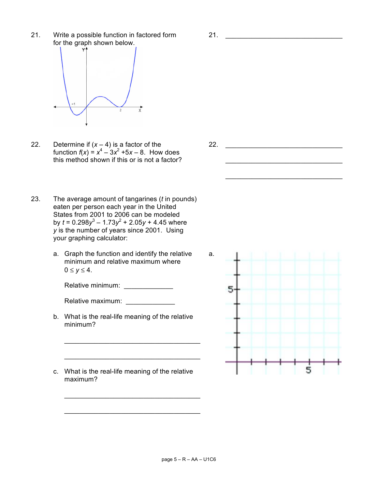21. Write a possible function in factored form 21. for the graph shown below.



- 22. Determine if (*x* 4) is a factor of the 22. \_\_\_\_\_\_\_\_\_\_\_\_\_\_\_\_\_\_\_\_\_\_\_\_\_\_\_\_\_\_\_ function  $f(x) = x^4 - 3x^2 + 5x - 8$ . How does this method shown if this or is not a factor?
- 23. The average amount of tangarines (*t* in pounds) eaten per person each year in the United States from 2001 to 2006 can be modeled by  $t = 0.298y^3 - 1.73y^2 + 2.05y + 4.45$  where *y* is the number of years since 2001. Using your graphing calculator:
	- a. Graph the function and identify the relative a. minimum and relative maximum where  $0 \le y \le 4$ .

Relative minimum:

Relative maximum: \_\_\_\_\_\_\_\_\_\_\_\_\_

b. What is the real-life meaning of the relative minimum?

 $\mathcal{L}_\mathcal{L}$  , where  $\mathcal{L}_\mathcal{L}$  is the set of the set of the set of the set of the set of the set of the set of the set of the set of the set of the set of the set of the set of the set of the set of the set of the

 $\mathcal{L}_\mathcal{L}$  , where  $\mathcal{L}_\mathcal{L}$  is the set of the set of the set of the set of the set of the set of the set of the set of the set of the set of the set of the set of the set of the set of the set of the set of the

 $\mathcal{L}_\mathcal{L}$  , where  $\mathcal{L}_\mathcal{L}$  is the set of the set of the set of the set of the set of the set of the set of the set of the set of the set of the set of the set of the set of the set of the set of the set of the

\_\_\_\_\_\_\_\_\_\_\_\_\_\_\_\_\_\_\_\_\_\_\_\_\_\_\_\_\_\_\_\_\_\_\_\_

c. What is the real-life meaning of the relative maximum?

\_\_\_\_\_\_\_\_\_\_\_\_\_\_\_\_\_\_\_\_\_\_\_\_\_\_\_\_\_\_\_